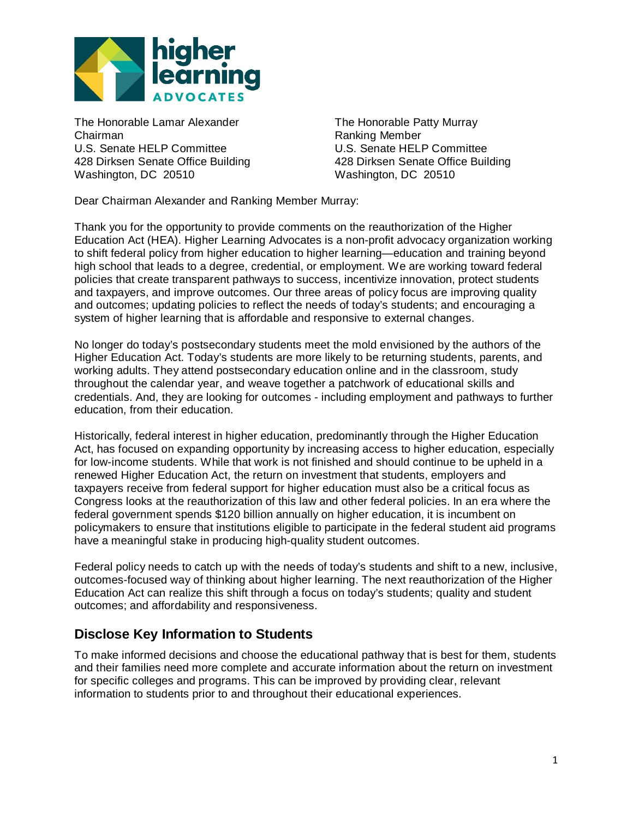

The Honorable Lamar Alexander The Honorable Patty Murray Chairman Ranking Member U.S. Senate HELP Committee 428 Dirksen Senate Office Building 428 Dirksen Senate Office Building Washington, DC 20510 Washington, DC 20510

Dear Chairman Alexander and Ranking Member Murray:

Thank you for the opportunity to provide comments on the reauthorization of the Higher Education Act (HEA). Higher Learning Advocates is a non-profit advocacy organization working to shift federal policy from higher education to higher learning—education and training beyond high school that leads to a degree, credential, or employment. We are working toward federal policies that create transparent pathways to success, incentivize innovation, protect students and taxpayers, and improve outcomes. Our three areas of policy focus are improving quality and outcomes; updating policies to reflect the needs of today's students; and encouraging a system of higher learning that is affordable and responsive to external changes.

No longer do today's postsecondary students meet the mold envisioned by the authors of the Higher Education Act. Today's students are more likely to be returning students, parents, and working adults. They attend postsecondary education online and in the classroom, study throughout the calendar year, and weave together a patchwork of educational skills and credentials. And, they are looking for outcomes - including employment and pathways to further education, from their education.

Historically, federal interest in higher education, predominantly through the Higher Education Act, has focused on expanding opportunity by increasing access to higher education, especially for low-income students. While that work is not finished and should continue to be upheld in a renewed Higher Education Act, the return on investment that students, employers and taxpayers receive from federal support for higher education must also be a critical focus as Congress looks at the reauthorization of this law and other federal policies. In an era where the federal government spends \$120 billion annually on higher education, it is incumbent on policymakers to ensure that institutions eligible to participate in the federal student aid programs have a meaningful stake in producing high-quality student outcomes.

Federal policy needs to catch up with the needs of today's students and shift to a new, inclusive, outcomes-focused way of thinking about higher learning. The next reauthorization of the Higher Education Act can realize this shift through a focus on today's students; quality and student outcomes; and affordability and responsiveness.

## **Disclose Key Information to Students**

To make informed decisions and choose the educational pathway that is best for them, students and their families need more complete and accurate information about the return on investment for specific colleges and programs. This can be improved by providing clear, relevant information to students prior to and throughout their educational experiences.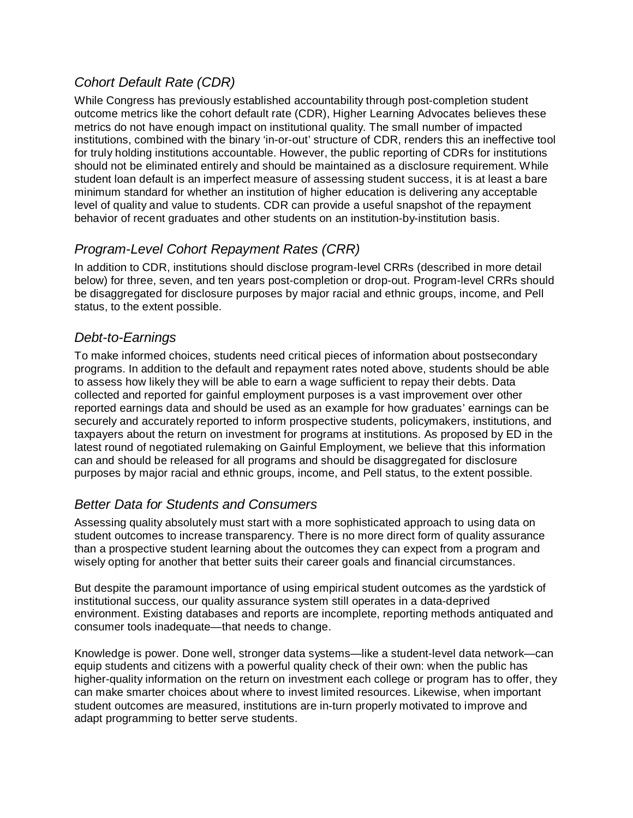# *Cohort Default Rate (CDR)*

While Congress has previously established accountability through post-completion student outcome metrics like the cohort default rate (CDR), Higher Learning Advocates believes these metrics do not have enough impact on institutional quality. The small number of impacted institutions, combined with the binary 'in-or-out' structure of CDR, renders this an ineffective tool for truly holding institutions accountable. However, the public reporting of CDRs for institutions should not be eliminated entirely and should be maintained as a disclosure requirement. While student loan default is an imperfect measure of assessing student success, it is at least a bare minimum standard for whether an institution of higher education is delivering any acceptable level of quality and value to students. CDR can provide a useful snapshot of the repayment behavior of recent graduates and other students on an institution-by-institution basis.

# *Program-Level Cohort Repayment Rates (CRR)*

In addition to CDR, institutions should disclose program-level CRRs (described in more detail below) for three, seven, and ten years post-completion or drop-out. Program-level CRRs should be disaggregated for disclosure purposes by major racial and ethnic groups, income, and Pell status, to the extent possible.

## *Debt-to-Earnings*

To make informed choices, students need critical pieces of information about postsecondary programs. In addition to the default and repayment rates noted above, students should be able to assess how likely they will be able to earn a wage sufficient to repay their debts. Data collected and reported for gainful employment purposes is a vast improvement over other reported earnings data and should be used as an example for how graduates' earnings can be securely and accurately reported to inform prospective students, policymakers, institutions, and taxpayers about the return on investment for programs at institutions. As proposed by ED in the latest round of negotiated rulemaking on Gainful Employment, we believe that this information can and should be released for all programs and should be disaggregated for disclosure purposes by major racial and ethnic groups, income, and Pell status, to the extent possible.

## *Better Data for Students and Consumers*

Assessing quality absolutely must start with a more sophisticated approach to using data on student outcomes to increase transparency. There is no more direct form of quality assurance than a prospective student learning about the outcomes they can expect from a program and wisely opting for another that better suits their career goals and financial circumstances.

But despite the paramount importance of using empirical student outcomes as the yardstick of institutional success, our quality assurance system still operates in a data-deprived environment. Existing databases and reports are incomplete, reporting methods antiquated and consumer tools inadequate—that needs to change.

Knowledge is power. Done well, stronger data systems—like a student-level data network—can equip students and citizens with a powerful quality check of their own: when the public has higher-quality information on the return on investment each college or program has to offer, they can make smarter choices about where to invest limited resources. Likewise, when important student outcomes are measured, institutions are in-turn properly motivated to improve and adapt programming to better serve students.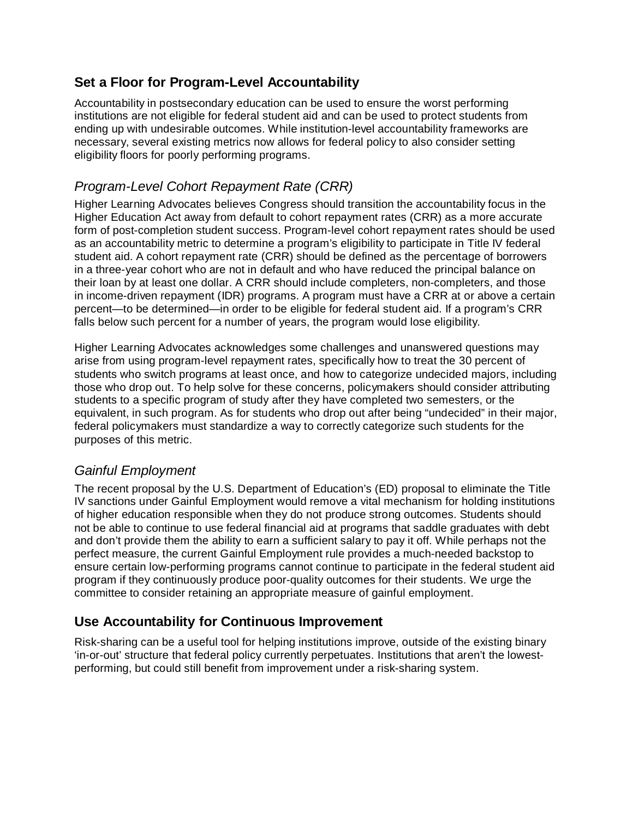## **Set a Floor for Program-Level Accountability**

Accountability in postsecondary education can be used to ensure the worst performing institutions are not eligible for federal student aid and can be used to protect students from ending up with undesirable outcomes. While institution-level accountability frameworks are necessary, several existing metrics now allows for federal policy to also consider setting eligibility floors for poorly performing programs.

## *Program-Level Cohort Repayment Rate (CRR)*

Higher Learning Advocates believes Congress should transition the accountability focus in the Higher Education Act away from default to cohort repayment rates (CRR) as a more accurate form of post-completion student success. Program-level cohort repayment rates should be used as an accountability metric to determine a program's eligibility to participate in Title IV federal student aid. A cohort repayment rate (CRR) should be defined as the percentage of borrowers in a three-year cohort who are not in default and who have reduced the principal balance on their loan by at least one dollar. A CRR should include completers, non-completers, and those in income-driven repayment (IDR) programs. A program must have a CRR at or above a certain percent—to be determined—in order to be eligible for federal student aid. If a program's CRR falls below such percent for a number of years, the program would lose eligibility.

Higher Learning Advocates acknowledges some challenges and unanswered questions may arise from using program-level repayment rates, specifically how to treat the 30 percent of students who switch programs at least once, and how to categorize undecided majors, including those who drop out. To help solve for these concerns, policymakers should consider attributing students to a specific program of study after they have completed two semesters, or the equivalent, in such program. As for students who drop out after being "undecided" in their major, federal policymakers must standardize a way to correctly categorize such students for the purposes of this metric.

## *Gainful Employment*

The recent proposal by the U.S. Department of Education's (ED) proposal to eliminate the Title IV sanctions under Gainful Employment would remove a vital mechanism for holding institutions of higher education responsible when they do not produce strong outcomes. Students should not be able to continue to use federal financial aid at programs that saddle graduates with debt and don't provide them the ability to earn a sufficient salary to pay it off. While perhaps not the perfect measure, the current Gainful Employment rule provides a much-needed backstop to ensure certain low-performing programs cannot continue to participate in the federal student aid program if they continuously produce poor-quality outcomes for their students. We urge the committee to consider retaining an appropriate measure of gainful employment.

## **Use Accountability for Continuous Improvement**

Risk-sharing can be a useful tool for helping institutions improve, outside of the existing binary 'in-or-out' structure that federal policy currently perpetuates. Institutions that aren't the lowestperforming, but could still benefit from improvement under a risk-sharing system.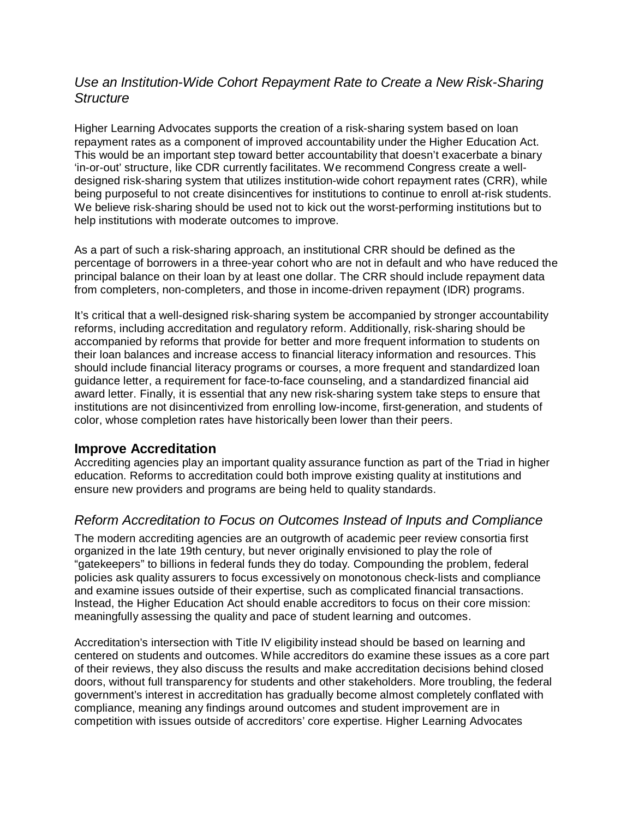### *Use an Institution-Wide Cohort Repayment Rate to Create a New Risk-Sharing Structure*

Higher Learning Advocates supports the creation of a risk-sharing system based on loan repayment rates as a component of improved accountability under the Higher Education Act. This would be an important step toward better accountability that doesn't exacerbate a binary 'in-or-out' structure, like CDR currently facilitates. We recommend Congress create a welldesigned risk-sharing system that utilizes institution-wide cohort repayment rates (CRR), while being purposeful to not create disincentives for institutions to continue to enroll at-risk students. We believe risk-sharing should be used not to kick out the worst-performing institutions but to help institutions with moderate outcomes to improve.

As a part of such a risk-sharing approach, an institutional CRR should be defined as the percentage of borrowers in a three-year cohort who are not in default and who have reduced the principal balance on their loan by at least one dollar. The CRR should include repayment data from completers, non-completers, and those in income-driven repayment (IDR) programs.

It's critical that a well-designed risk-sharing system be accompanied by stronger accountability reforms, including accreditation and regulatory reform. Additionally, risk-sharing should be accompanied by reforms that provide for better and more frequent information to students on their loan balances and increase access to financial literacy information and resources. This should include financial literacy programs or courses, a more frequent and standardized loan guidance letter, a requirement for face-to-face counseling, and a standardized financial aid award letter. Finally, it is essential that any new risk-sharing system take steps to ensure that institutions are not disincentivized from enrolling low-income, first-generation, and students of color, whose completion rates have historically been lower than their peers.

#### **Improve Accreditation**

Accrediting agencies play an important quality assurance function as part of the Triad in higher education. Reforms to accreditation could both improve existing quality at institutions and ensure new providers and programs are being held to quality standards.

## *Reform Accreditation to Focus on Outcomes Instead of Inputs and Compliance*

The modern accrediting agencies are an outgrowth of academic peer review consortia first organized in the late 19th century, but never originally envisioned to play the role of "gatekeepers" to billions in federal funds they do today. Compounding the problem, federal policies ask quality assurers to focus excessively on monotonous check-lists and compliance and examine issues outside of their expertise, such as complicated financial transactions. Instead, the Higher Education Act should enable accreditors to focus on their core mission: meaningfully assessing the quality and pace of student learning and outcomes.

Accreditation's intersection with Title IV eligibility instead should be based on learning and centered on students and outcomes. While accreditors do examine these issues as a core part of their reviews, they also discuss the results and make accreditation decisions behind closed doors, without full transparency for students and other stakeholders. More troubling, the federal government's interest in accreditation has gradually become almost completely conflated with compliance, meaning any findings around outcomes and student improvement are in competition with issues outside of accreditors' core expertise. Higher Learning Advocates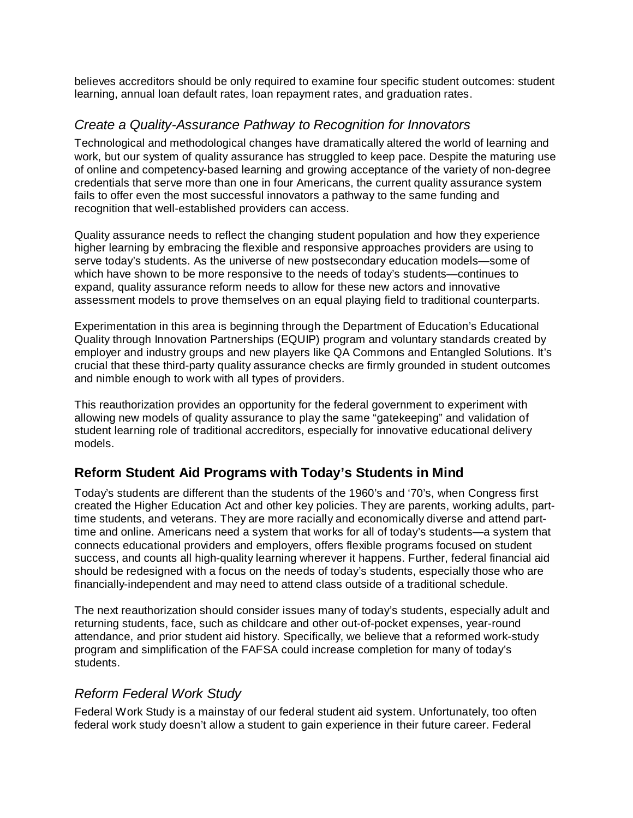believes accreditors should be only required to examine four specific student outcomes: student learning, annual loan default rates, loan repayment rates, and graduation rates.

### *Create a Quality-Assurance Pathway to Recognition for Innovators*

Technological and methodological changes have dramatically altered the world of learning and work, but our system of quality assurance has struggled to keep pace. Despite the maturing use of online and competency-based learning and growing acceptance of the variety of non-degree credentials that serve more than one in four Americans, the current quality assurance system fails to offer even the most successful innovators a pathway to the same funding and recognition that well-established providers can access.

Quality assurance needs to reflect the changing student population and how they experience higher learning by embracing the flexible and responsive approaches providers are using to serve today's students. As the universe of new postsecondary education models—some of which have shown to be more responsive to the needs of today's students—continues to expand, quality assurance reform needs to allow for these new actors and innovative assessment models to prove themselves on an equal playing field to traditional counterparts.

Experimentation in this area is beginning through the Department of Education's Educational Quality through Innovation Partnerships (EQUIP) program and voluntary standards created by employer and industry groups and new players like QA Commons and Entangled Solutions. It's crucial that these third-party quality assurance checks are firmly grounded in student outcomes and nimble enough to work with all types of providers.

This reauthorization provides an opportunity for the federal government to experiment with allowing new models of quality assurance to play the same "gatekeeping" and validation of student learning role of traditional accreditors, especially for innovative educational delivery models.

## **Reform Student Aid Programs with Today's Students in Mind**

Today's students are different than the students of the 1960's and '70's, when Congress first created the Higher Education Act and other key policies. They are parents, working adults, parttime students, and veterans. They are more racially and economically diverse and attend parttime and online. Americans need a system that works for all of today's students—a system that connects educational providers and employers, offers flexible programs focused on student success, and counts all high-quality learning wherever it happens. Further, federal financial aid should be redesigned with a focus on the needs of today's students, especially those who are financially-independent and may need to attend class outside of a traditional schedule.

The next reauthorization should consider issues many of today's students, especially adult and returning students, face, such as childcare and other out-of-pocket expenses, year-round attendance, and prior student aid history. Specifically, we believe that a reformed work-study program and simplification of the FAFSA could increase completion for many of today's students.

### *Reform Federal Work Study*

Federal Work Study is a mainstay of our federal student aid system. Unfortunately, too often federal work study doesn't allow a student to gain experience in their future career. Federal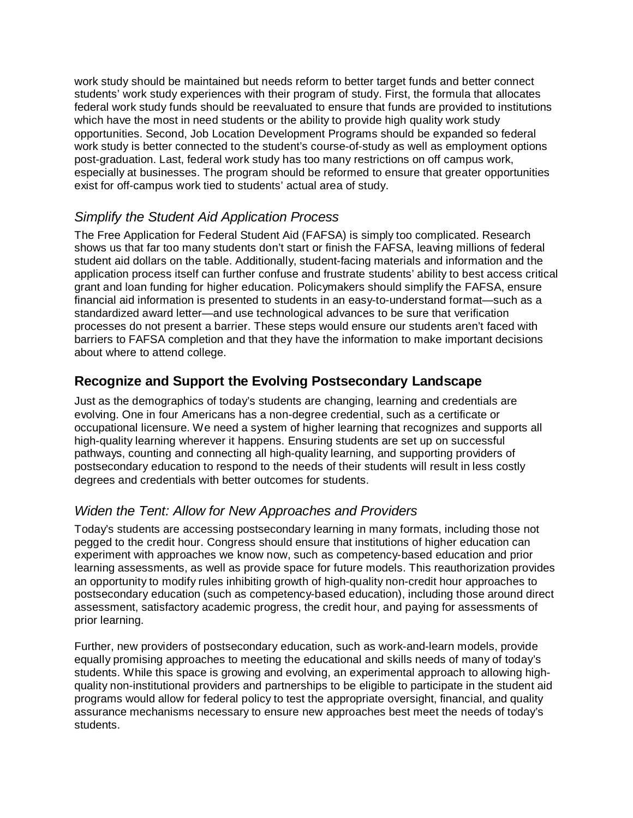work study should be maintained but needs reform to better target funds and better connect students' work study experiences with their program of study. First, the formula that allocates federal work study funds should be reevaluated to ensure that funds are provided to institutions which have the most in need students or the ability to provide high quality work study opportunities. Second, Job Location Development Programs should be expanded so federal work study is better connected to the student's course-of-study as well as employment options post-graduation. Last, federal work study has too many restrictions on off campus work, especially at businesses. The program should be reformed to ensure that greater opportunities exist for off-campus work tied to students' actual area of study.

# *Simplify the Student Aid Application Process*

The Free Application for Federal Student Aid (FAFSA) is simply too complicated. Research shows us that far too many students don't start or finish the FAFSA, leaving millions of federal student aid dollars on the table. Additionally, student-facing materials and information and the application process itself can further confuse and frustrate students' ability to best access critical grant and loan funding for higher education. Policymakers should simplify the FAFSA, ensure financial aid information is presented to students in an easy-to-understand format—such as a standardized award letter—and use technological advances to be sure that verification processes do not present a barrier. These steps would ensure our students aren't faced with barriers to FAFSA completion and that they have the information to make important decisions about where to attend college.

## **Recognize and Support the Evolving Postsecondary Landscape**

Just as the demographics of today's students are changing, learning and credentials are evolving. One in four Americans has a non-degree credential, such as a certificate or occupational licensure. We need a system of higher learning that recognizes and supports all high-quality learning wherever it happens. Ensuring students are set up on successful pathways, counting and connecting all high-quality learning, and supporting providers of postsecondary education to respond to the needs of their students will result in less costly degrees and credentials with better outcomes for students.

### *Widen the Tent: Allow for New Approaches and Providers*

Today's students are accessing postsecondary learning in many formats, including those not pegged to the credit hour. Congress should ensure that institutions of higher education can experiment with approaches we know now, such as competency-based education and prior learning assessments, as well as provide space for future models. This reauthorization provides an opportunity to modify rules inhibiting growth of high-quality non-credit hour approaches to postsecondary education (such as competency-based education), including those around direct assessment, satisfactory academic progress, the credit hour, and paying for assessments of prior learning.

Further, new providers of postsecondary education, such as work-and-learn models, provide equally promising approaches to meeting the educational and skills needs of many of today's students. While this space is growing and evolving, an experimental approach to allowing highquality non-institutional providers and partnerships to be eligible to participate in the student aid programs would allow for federal policy to test the appropriate oversight, financial, and quality assurance mechanisms necessary to ensure new approaches best meet the needs of today's students.